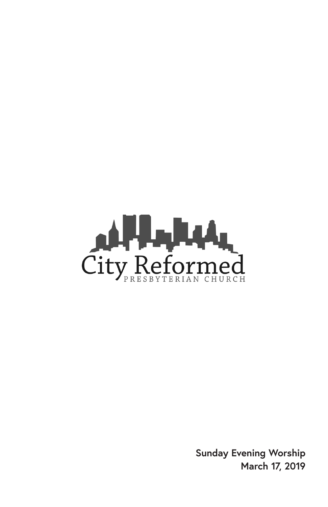

**Sunday Evening Worship March 17, 2019**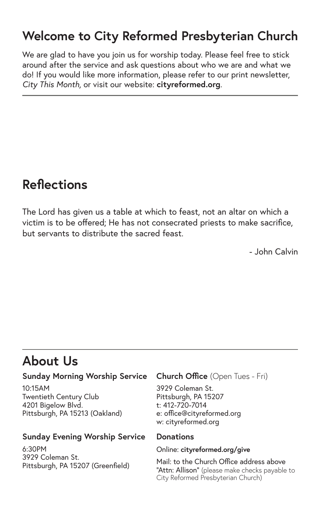#### **Welcome to City Reformed Presbyterian Church**

We are glad to have you join us for worship today. Please feel free to stick around after the service and ask questions about who we are and what we do! If you would like more information, please refer to our print newsletter, *City This Month,* or visit our website: **cityreformed.org**.

#### **Reflections**

The Lord has given us a table at which to feast, not an altar on which a victim is to be offered; He has not consecrated priests to make sacrifice, but servants to distribute the sacred feast.

- John Calvin

#### **About Us**

#### **Sunday Morning Worship Service**

10:15AM Twentieth Century Club 4201 Bigelow Blvd. Pittsburgh, PA 15213 (Oakland)

#### **Sunday Evening Worship Service**

6:30PM 3929 Coleman St. Pittsburgh, PA 15207 (Greenfield)

#### **Church Office** (Open Tues - Fri)

3929 Coleman St. Pittsburgh, PA 15207 t: 412-720-7014 e: office@cityreformed.org w: cityreformed.org

#### **Donations**

#### Online: **cityreformed.org/give**

Mail: to the Church Office address above "Attn: Allison" (please make checks payable to City Reformed Presbyterian Church)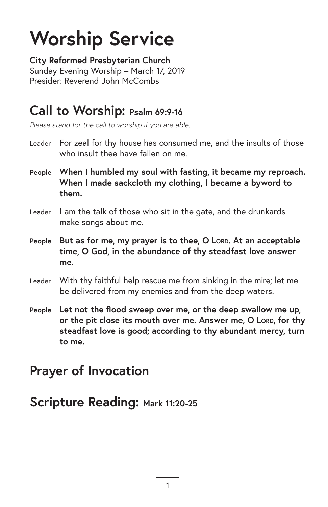# **Worship Service**

**City Reformed Presbyterian Church** Sunday Evening Worship – March 17, 2019 Presider: Reverend John McCombs

#### **Call to Worship: Psalm 69:9-16**

*Please stand for the call to worship if you are able.*

- Leader For zeal for thy house has consumed me, and the insults of those who insult thee have fallen on me.
- **People When I humbled my soul with fasting, it became my reproach. When I made sackcloth my clothing, I became a byword to them.**
- Leader I am the talk of those who sit in the gate, and the drunkards make songs about me.
- **People** But as for me, my prayer is to thee, O Lorp. At an acceptable **time, O God, in the abundance of thy steadfast love answer me.**
- Leader With thy faithful help rescue me from sinking in the mire; let me be delivered from my enemies and from the deep waters.
- **People Let not the flood sweep over me, or the deep swallow me up, or the pit close its mouth over me. Answer me, O Lord, for thy steadfast love is good; according to thy abundant mercy, turn to me.**

### **Prayer of Invocation**

**Scripture Reading: Mark 11:20-25**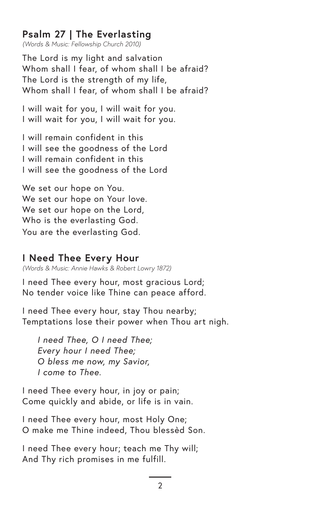#### **Psalm 27 | The Everlasting**

*(Words & Music: Fellowship Church 2010)*

The Lord is my light and salvation Whom shall I fear, of whom shall I be afraid? The Lord is the strength of my life, Whom shall I fear, of whom shall I be afraid?

I will wait for you, I will wait for you. I will wait for you, I will wait for you.

I will remain confident in this I will see the goodness of the Lord I will remain confident in this I will see the goodness of the Lord

We set our hope on You. We set our hope on Your love. We set our hope on the Lord, Who is the everlasting God. You are the everlasting God.

#### **I Need Thee Every Hour**

*(Words & Music: Annie Hawks & Robert Lowry 1872)*

I need Thee every hour, most gracious Lord; No tender voice like Thine can peace afford.

I need Thee every hour, stay Thou nearby; Temptations lose their power when Thou art nigh.

*I need Thee, O I need Thee; Every hour I need Thee; O bless me now, my Savior, I come to Thee.*

I need Thee every hour, in joy or pain; Come quickly and abide, or life is in vain.

I need Thee every hour, most Holy One; O make me Thine indeed, Thou blessèd Son.

I need Thee every hour; teach me Thy will; And Thy rich promises in me fulfill.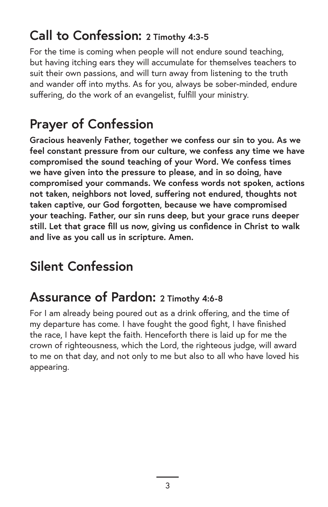### **Call to Confession: 2 Timothy 4:3-5**

For the time is coming when people will not endure sound teaching, but having itching ears they will accumulate for themselves teachers to suit their own passions, and will turn away from listening to the truth and wander off into myths. As for you, always be sober-minded, endure suffering, do the work of an evangelist, fulfill your ministry.

# **Prayer of Confession**

**Gracious heavenly Father, together we confess our sin to you. As we feel constant pressure from our culture, we confess any time we have compromised the sound teaching of your Word. We confess times we have given into the pressure to please, and in so doing, have compromised your commands. We confess words not spoken, actions not taken, neighbors not loved, suffering not endured, thoughts not taken captive, our God forgotten, because we have compromised your teaching. Father, our sin runs deep, but your grace runs deeper still. Let that grace fill us now, giving us confidence in Christ to walk and live as you call us in scripture. Amen.** 

# **Silent Confession**

#### **Assurance of Pardon: 2 Timothy 4:6-8**

For I am already being poured out as a drink offering, and the time of my departure has come. I have fought the good fight, I have finished the race, I have kept the faith. Henceforth there is laid up for me the crown of righteousness, which the Lord, the righteous judge, will award to me on that day, and not only to me but also to all who have loved his appearing.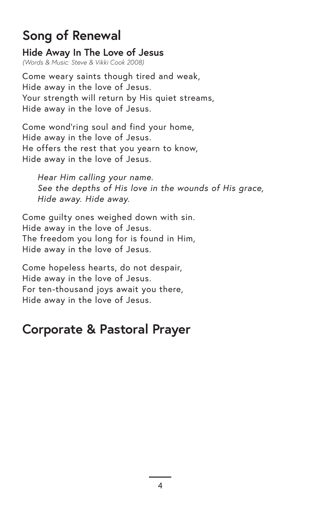### **Song of Renewal**

**Hide Away In The Love of Jesus**  *(Words & Music: Steve & Vikki Cook 2008)*

Come weary saints though tired and weak, Hide away in the love of Jesus. Your strength will return by His quiet streams, Hide away in the love of Jesus.

Come wond'ring soul and find your home, Hide away in the love of Jesus. He offers the rest that you yearn to know, Hide away in the love of Jesus.

*Hear Him calling your name. See the depths of His love in the wounds of His grace, Hide away. Hide away.*

Come guilty ones weighed down with sin. Hide away in the love of Jesus. The freedom you long for is found in Him, Hide away in the love of Jesus.

Come hopeless hearts, do not despair, Hide away in the love of Jesus. For ten-thousand joys await you there, Hide away in the love of Jesus.

## **Corporate & Pastoral Prayer**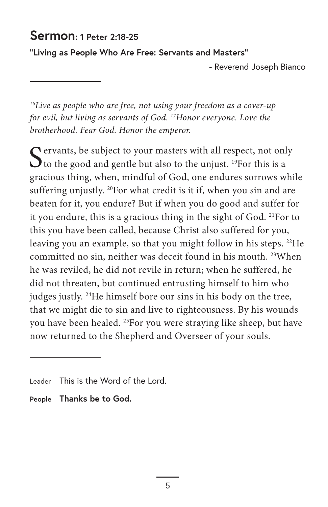#### **Sermon: 1 Peter 2:18-25**

**"Living as People Who Are Free: Servants and Masters"** 

- Reverend Joseph Bianco

*16 Live as people who are free, not using your freedom as a cover-up for evil, but living as servants of God. 17Honor everyone. Love the brotherhood. Fear God. Honor the emperor.*

 $\bigcap$  ervants, be subject to your masters with all respect, not only  $\mathbf{\mathcal{O}}$  to the good and gentle but also to the unjust. <sup>19</sup>For this is a gracious thing, when, mindful of God, one endures sorrows while suffering unjustly. <sup>20</sup>For what credit is it if, when you sin and are beaten for it, you endure? But if when you do good and suffer for it you endure, this is a gracious thing in the sight of God. 21For to this you have been called, because Christ also suffered for you, leaving you an example, so that you might follow in his steps. <sup>22</sup>He committed no sin, neither was deceit found in his mouth. 23When he was reviled, he did not revile in return; when he suffered, he did not threaten, but continued entrusting himself to him who judges justly. 24He himself bore our sins in his body on the tree, that we might die to sin and live to righteousness. By his wounds you have been healed. 25For you were straying like sheep, but have now returned to the Shepherd and Overseer of your souls.

**People Thanks be to God.**

Leader This is the Word of the Lord.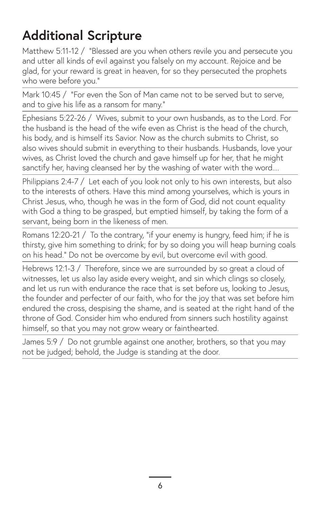# **Additional Scripture**

Matthew 5:11-12 / "Blessed are you when others revile you and persecute you and utter all kinds of evil against you falsely on my account. Rejoice and be glad, for your reward is great in heaven, for so they persecuted the prophets who were before you."

Mark 10:45 / "For even the Son of Man came not to be served but to serve, and to give his life as a ransom for many."

Ephesians 5:22-26 / Wives, submit to your own husbands, as to the Lord. For the husband is the head of the wife even as Christ is the head of the church, his body, and is himself its Savior. Now as the church submits to Christ, so also wives should submit in everything to their husbands. Husbands, love your wives, as Christ loved the church and gave himself up for her, that he might sanctify her, having cleansed her by the washing of water with the word....

Philippians 2:4-7 / Let each of you look not only to his own interests, but also to the interests of others. Have this mind among yourselves, which is yours in Christ Jesus, who, though he was in the form of God, did not count equality with God a thing to be grasped, but emptied himself, by taking the form of a servant, being born in the likeness of men.

Romans 12:20-21 / To the contrary, "if your enemy is hungry, feed him; if he is thirsty, give him something to drink; for by so doing you will heap burning coals on his head." Do not be overcome by evil, but overcome evil with good.

Hebrews 12:1-3 / Therefore, since we are surrounded by so great a cloud of witnesses, let us also lay aside every weight, and sin which clings so closely, and let us run with endurance the race that is set before us, looking to Jesus, the founder and perfecter of our faith, who for the joy that was set before him endured the cross, despising the shame, and is seated at the right hand of the throne of God. Consider him who endured from sinners such hostility against himself, so that you may not grow weary or fainthearted.

James 5:9 / Do not grumble against one another, brothers, so that you may not be judged; behold, the Judge is standing at the door.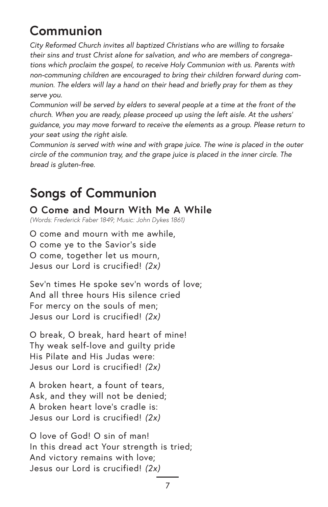# **Communion**

*City Reformed Church invites all baptized Christians who are willing to forsake their sins and trust Christ alone for salvation, and who are members of congregations which proclaim the gospel, to receive Holy Communion with us. Parents with non-communing children are encouraged to bring their children forward during communion. The elders will lay a hand on their head and briefly pray for them as they serve you.*

*Communion will be served by elders to several people at a time at the front of the church. When you are ready, please proceed up using the left aisle. At the ushers' guidance, you may move forward to receive the elements as a group. Please return to your seat using the right aisle.* 

*Communion is served with wine and with grape juice. The wine is placed in the outer circle of the communion tray, and the grape juice is placed in the inner circle. The bread is gluten-free.*

## **Songs of Communion**

**O Come and Mourn With Me A While** 

*(Words: Frederick Faber 1849; Music: John Dykes 1861)*

O come and mourn with me awhile, O come ye to the Savior's side O come, together let us mourn, Jesus our Lord is crucified! *(2x)*

Sev'n times He spoke sev'n words of love; And all three hours His silence cried For mercy on the souls of men; Jesus our Lord is crucified! *(2x)*

O break, O break, hard heart of mine! Thy weak self-love and guilty pride His Pilate and His Judas were: Jesus our Lord is crucified! *(2x)*

A broken heart, a fount of tears, Ask, and they will not be denied; A broken heart love's cradle is: Jesus our Lord is crucified! *(2x)*

O love of God! O sin of man! In this dread act Your strength is tried; And victory remains with love; Jesus our Lord is crucified! *(2x)*